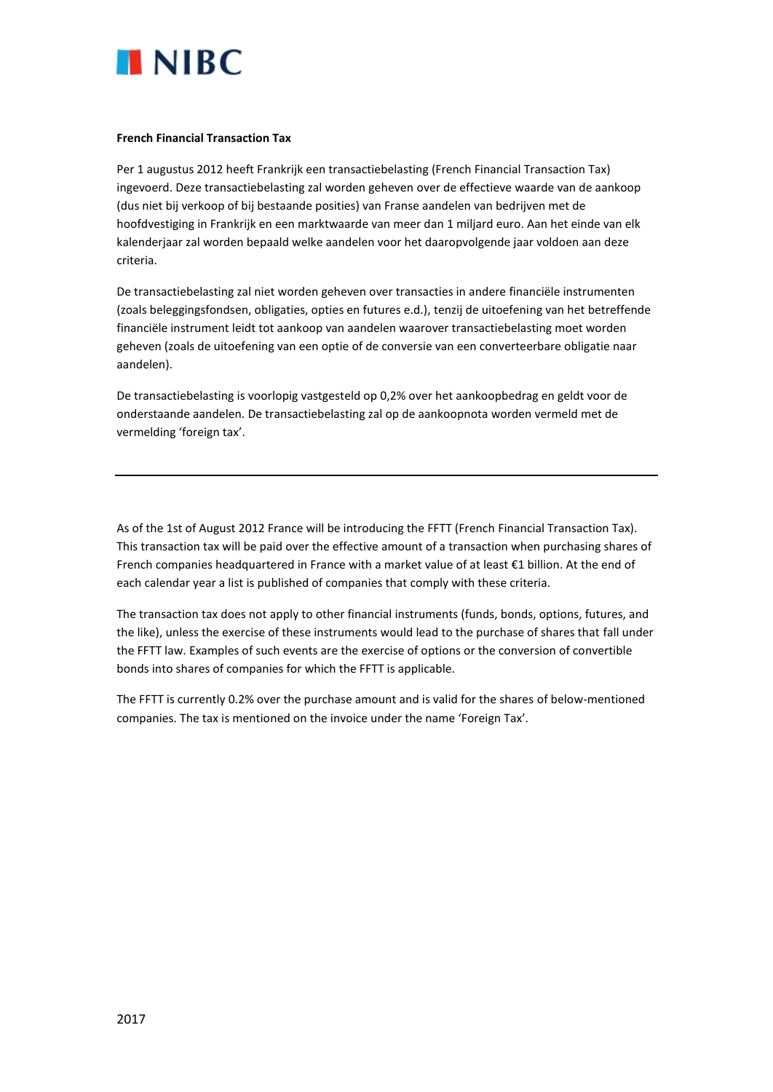

## **French Financial Transaction Tax**

Per 1 augustus 2012 heeft Frankrijk een transactiebelasting (French Financial Transaction Tax) ingevoerd. Deze transactiebelasting zal worden geheven over de effectieve waarde van de aankoop (dus niet bij verkoop of bij bestaande posities) van Franse aandelen van bedrijven met de hoofdvestiging in Frankrijk en een marktwaarde van meer dan 1 miljard euro. Aan het einde van elk kalenderjaar zal worden bepaald welke aandelen voor het daaropvolgende jaar voldoen aan deze criteria.

De transactiebelasting zal niet worden geheven over transacties in andere financiële instrumenten (zoals beleggingsfondsen, obligaties, opties en futures e.d.), tenzij de uitoefening van het betreffende financiële instrument leidt tot aankoop van aandelen waarover transactiebelasting moet worden geheven (zoals de uitoefening van een optie of de conversie van een converteerbare obligatie naar aandelen).

De transactiebelasting is voorlopig vastgesteld op 0,2% over het aankoopbedrag en geldt voor de onderstaande aandelen. De transactiebelasting zal op de aankoopnota worden vermeld met de vermelding 'foreign tax'.

As of the 1st of August 2012 France will be introducing the FFTT (French Financial Transaction Tax). This transaction tax will be paid over the effective amount of a transaction when purchasing shares of French companies headquartered in France with a market value of at least €1 billion. At the end of each calendar year a list is published of companies that comply with these criteria.

The transaction tax does not apply to other financial instruments (funds, bonds, options, futures, and the like), unless the exercise of these instruments would lead to the purchase of shares that fall under the FFTT law. Examples of such events are the exercise of options or the conversion of convertible bonds into shares of companies for which the FFTT is applicable.

The FFTT is currently 0.2% over the purchase amount and is valid for the shares of below-mentioned companies. The tax is mentioned on the invoice under the name 'Foreign Tax'.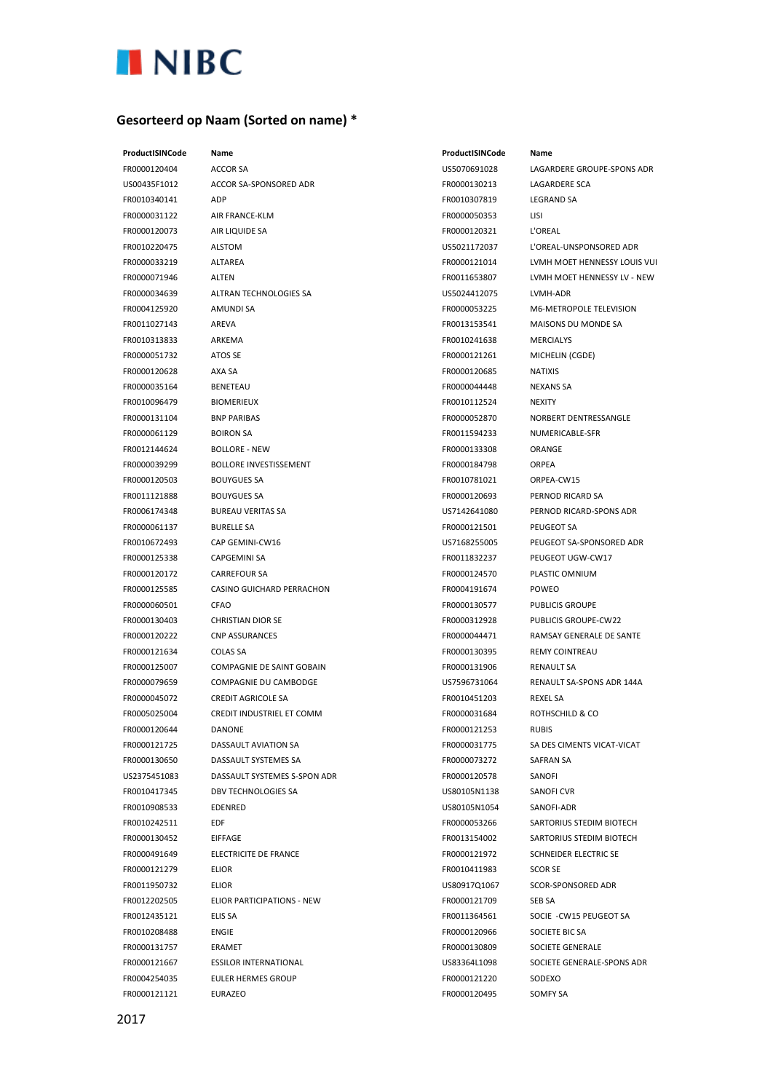

## **Gesorteerd op Naam (Sorted on name) \***

FR0000120404 ACCOR SA US5070691028 LAGARDERE GROUPE-SPONS ADR US00435F1012 ACCOR SA-SPONSORED ADR FR0000130213 LAGARDERE SCA FR0010340141 ADP FR0010307819 LEGRAND SA FR0000031122 AIR FRANCE-KLM FR0000050353 LISI FR0000120073 AIR LIQUIDE SA FR0000120321 L'OREAL FR0010220475 ALSTOM US5021172037 L'OREAL-UNSPONSORED ADR FR0000033219 ALTAREA FR0000121014 LVMH MOET HENNESSY LOUIS VUI FR0000071946 ALTEN FR0011653807 LVMH MOET HENNESSY LV - NEW FR0000034639 ALTRAN TECHNOLOGIES SA US5024412075 LVMH-ADR FR0004125920 AMUNDI SA FR0000053225 M6-METROPOLE TELEVISION FR0011027143 AREVA FR0013153541 MAISONS DU MONDE SA FR0010313833 ARKEMA FR0010241638 MERCIALYS FR0000051732 ATOS SE FR0000121261 MICHELIN (CGDE) FR0000120628 AXA SA FR0000120685 NATIXIS FR0000035164 BENETEAU FR0000044448 NEXANS SA FR0010096479 BIOMERIEUX FR0010112524 NEXITY FR0000131104 BNP PARIBAS FR0000052870 NORBERT DENTRESSANGLE FR0000061129 BOIRON SA FR0011594233 NUMERICABLE-SFR FR0012144624 BOLLORE - NEW FR0000133308 ORANGE FR0000039299 BOLLORE INVESTISSEMENT FR0000184798 ORPEA FR0000120503 BOUYGUES SA FR0010781021 ORPEA-CW15 FR0011121888 BOUYGUES SA FR0000120693 PERNOD RICARD SA FR0006174348 BUREAU VERITAS SA US7142641080 PERNOD RICARD-SPONS ADR FR0000061137 BURELLE SA FR0000121501 PEUGEOT SA FR0010672493 CAP GEMINI-CW16 US7168255005 PEUGEOT SA-SPONSORED ADR FR0000125338 CAPGEMINI SA **FROO11832237** PEUGEOT UGW-CW17 FR0000120172 CARREFOUR SA FR0000124570 PLASTIC OMNIUM FR0000125585 CASINO GUICHARD PERRACHON FR0004191674 POWEO FR0000060501 CFAO FR0000130577 PUBLICIS GROUPE FR0000130403 CHRISTIAN DIOR SE FR0000312928 PUBLICIS GROUPE-CW22 FR0000120222 CNP ASSURANCES FR0000044471 RAMSAY GENERALE DE SANTE FR0000121634 COLAS SA FR0000130395 REMY COINTREAU FR0000125007 COMPAGNIE DE SAINT GOBAIN FR0000131906 RENAULT SA FR0000079659 COMPAGNIE DU CAMBODGE US7596731064 RENAULT SA-SPONS ADR 144A FR0000045072 CREDIT AGRICOLE SA **FR0010451203** REXEL SA FR0005025004 CREDIT INDUSTRIEL ET COMM FR0000031684 ROTHSCHILD & CO FR0000120644 DANONE FR0000121253 RUBIS FR0000121725 DASSAULT AVIATION SA FR0000031775 SA DES CIMENTS VICAT-VICAT FR0000130650 DASSAULT SYSTEMES SA FR0000073272 SAFRAN SA US2375451083 DASSAULT SYSTEMES S-SPON ADR FR0000120578 SANOFI FR0010417345 DBV TECHNOLOGIES SA US80105N1138 SANOFI CVR FR0010908533 EDENRED US80105N1054 SANOFI-ADR FR0010242511 EDF FR0000053266 SARTORIUS STEDIM BIOTECH FR0000130452 EIFFAGE FR0013154002 SARTORIUS STEDIM BIOTECH FR0000491649 ELECTRICITE DE FRANCE FR0000121972 SCHNEIDER ELECTRIC SE FR0000121279 ELIOR FR0010411983 SCOR SE FR0011950732 ELIOR US80917Q1067 SCOR-SPONSORED ADR FR0012202505 ELIOR PARTICIPATIONS - NEW FR0000121709 SEB SA FR0012435121 ELIS SA FR0011364561 SOCIE -CW15 PEUGEOT SA FR0010208488 ENGIE FR0000120966 SOCIETE BIC SA FR0000131757 ERAMET FR0000130809 SOCIETE GENERALE FR0000121667 ESSILOR INTERNATIONAL US83364L1098 SOCIETE GENERALE-SPONS ADR FR0004254035 EULER HERMES GROUP FR0000121220 SODEXO FR0000121121 EURAZEO FR0000120495 SOMFY SA

**ProductISINCode Name ProductISINCode Name**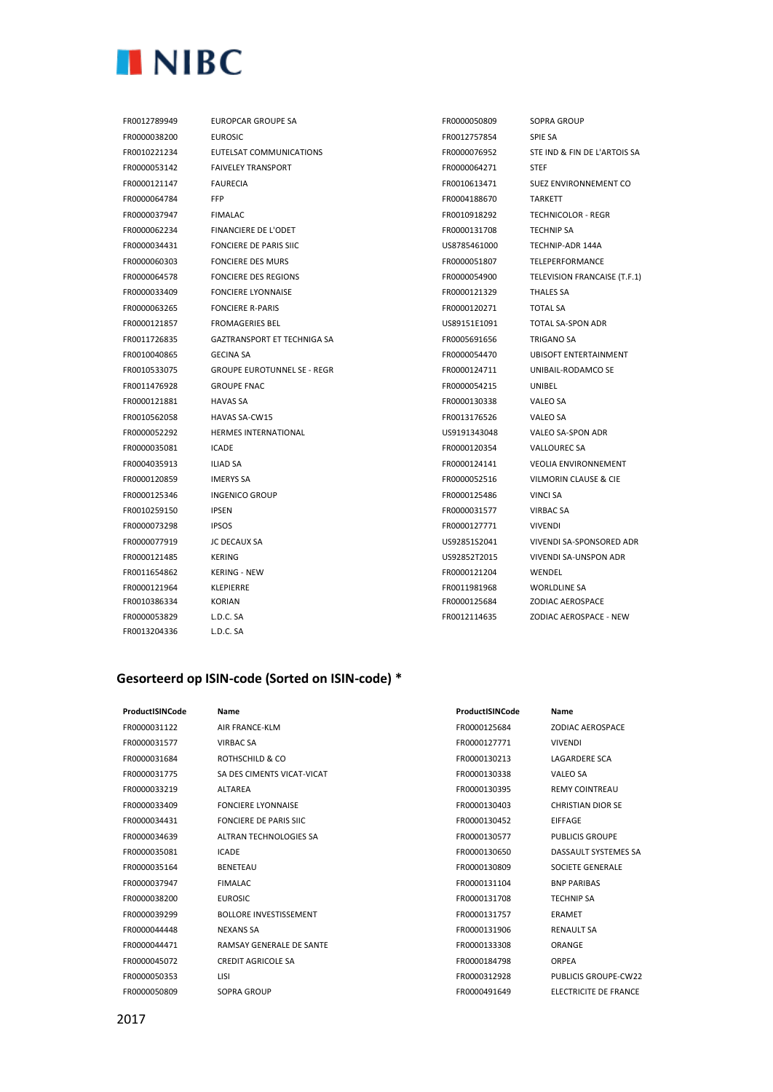

FR0013204336 L.D.C. SA

FR0012789949 EUROPCAR GROUPE SA FR0000050809 SOPRA GROUP FR0000038200 EUROSIC FR0012757854 SPIE SA FR0010221234 EUTELSAT COMMUNICATIONS FROMODO76952 STE IND & FIN DE L'ARTOIS SA FR0000053142 FAIVELEY TRANSPORT FAIT FROM FR0000064271 STEF FR0000121147 FAURECIA FR0010613471 SUEZ ENVIRONNEMENT CO FR0000064784 FFP FR0004188670 TARKETT FR0000037947 FIMALAC FR0010918292 TECHNICOLOR - REGR FR0000062234 FINANCIERE DE L'ODET FR0000131708 TECHNIP SA FR0000034431 FONCIERE DE PARIS SIIC US8785461000 TECHNIP-ADR 144A FR0000060303 FONCIERE DES MURS FR0000051807 TELEPERFORMANCE FR0000064578 FONCIERE DES REGIONS FR0000054900 TELEVISION FRANCAISE (T.F.1) FR0000033409 FONCIERE LYONNAISE FR0000121329 THALES SA FR0000063265 FONCIERE R-PARIS FR0000120271 TOTAL SA FR0000121857 FROMAGERIES BEL US89151E1091 TOTAL SA-SPON ADR FR0011726835 GAZTRANSPORT ET TECHNIGA SA FR0005691656 TRIGANO SA FR0010040865 GECINA SA FR0000054470 UBISOFT ENTERTAINMENT FR0010533075 GROUPE EUROTUNNEL SE - REGR FR0000124711 UNIBAIL-RODAMCO SE FR0011476928 GROUPE FNAC FR0000054215 UNIBEL FR0000121881 HAVAS SA FR0000130338 VALEO SA FR0010562058 HAVAS SA-CW15 FR0013176526 VALEO SA FR0000052292 HERMES INTERNATIONAL US9191343048 VALEO SA-SPON ADR FR0000035081 ICADE FR0000120354 VALLOUREC SA FR0004035913 ILIAD SA FR0000124141 VEOLIA ENVIRONNEMENT FR0000120859 IMERYS SA FR0000052516 VILMORIN CLAUSE & CIE FR0000125346 INGENICO GROUP FR0000125486 VINCI SA FR0010259150 IPSEN FR0000031577 VIRBAC SA FR0000073298 IPSOS FR0000127771 VIVENDI FR0000077919 JC DECAUX SA US92851S2041 VIVENDI SA-SPONSORED ADR FR0000121485 KERING US92852T2015 VIVENDI SA-UNSPON ADR FR0011654862 KERING - NEW FR0000121204 WENDEL FR0000121964 KLEPIERRE FR0011981968 WORLDLINE SA FR0010386334 KORIAN FR0000125684 ZODIAC AEROSPACE FR0000053829 L.D.C. SA FR0012114635 ZODIAC AEROSPACE - NEW

## **Gesorteerd op ISIN-code (Sorted on ISIN-code) \***

| ProductISINCode | Name                            | ProductISINCode | Name                         |
|-----------------|---------------------------------|-----------------|------------------------------|
| FR0000031122    | AIR FRANCE-KLM                  | FR0000125684    | <b>ZODIAC AEROSPACE</b>      |
| FR0000031577    | VIRBAC SA                       | FR0000127771    | <b>VIVENDI</b>               |
| FR0000031684    | ROTHSCHILD & CO                 | FR0000130213    | <b>LAGARDERE SCA</b>         |
| FR0000031775    | SA DES CIMENTS VICAT-VICAT      | FR0000130338    | <b>VALEO SA</b>              |
| FR0000033219    | <b>ALTAREA</b>                  | FR0000130395    | <b>REMY COINTREAU</b>        |
| FR0000033409    | <b>FONCIERE LYONNAISE</b>       | FR0000130403    | <b>CHRISTIAN DIOR SE</b>     |
| FR0000034431    | <b>FONCIERE DE PARIS SIIC</b>   | FR0000130452    | <b>EIFFAGE</b>               |
| FR0000034639    | ALTRAN TECHNOLOGIES SA          | FR0000130577    | PUBLICIS GROUPE              |
| FR0000035081    | <b>ICADE</b>                    | FR0000130650    | DASSAULT SYSTEMES SA         |
| FR0000035164    | <b>BENETEAU</b>                 | FR0000130809    | SOCIETE GENERALE             |
| FR0000037947    | <b>FIMALAC</b>                  | FR0000131104    | <b>BNP PARIBAS</b>           |
| FR0000038200    | <b>EUROSIC</b>                  | FR0000131708    | <b>TECHNIP SA</b>            |
| FR0000039299    | <b>BOLLORE INVESTISSEMENT</b>   | FR0000131757    | <b>ERAMET</b>                |
| FR0000044448    | <b>NEXANS SA</b>                | FR0000131906    | <b>RENAULT SA</b>            |
| FR0000044471    | <b>RAMSAY GENERALE DE SANTE</b> | FR0000133308    | ORANGE                       |
| FR0000045072    | <b>CREDIT AGRICOLE SA</b>       | FR0000184798    | <b>ORPEA</b>                 |
| FR0000050353    | LISI                            | FR0000312928    | <b>PUBLICIS GROUPE-CW22</b>  |
| FR0000050809    | SOPRA GROUP                     | FR0000491649    | <b>ELECTRICITE DE FRANCE</b> |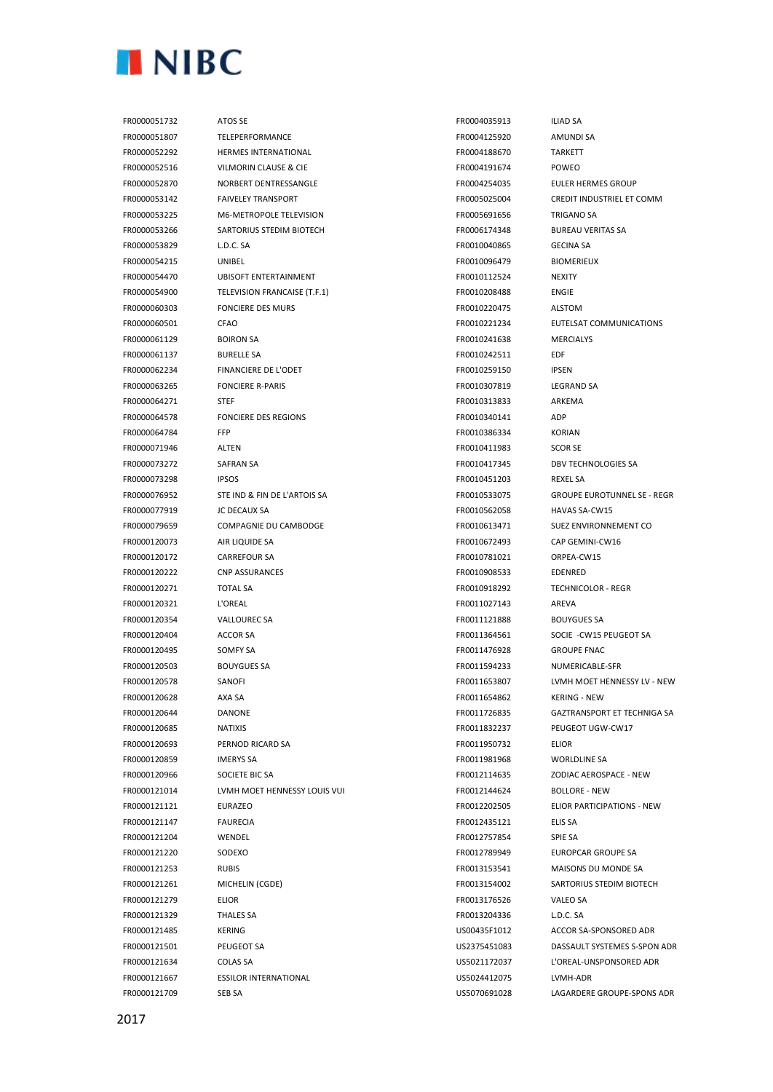

FR0000051732 ATOS SE FR0004035913 ILIAD SA FR0000051807 TELEPERFORMANCE FR0004125920 AMUNDI SA FR0000052292 HERMES INTERNATIONAL FR0004188670 TARKETT FR0000052516 VILMORIN CLAUSE & CIE FR0004191674 POWEO **FROODOS2870** NORBERT DENTRESSANGLE FROOD FROOD FROOD FROOD FULLER HERMES GROUP FR0000053142 FAIVELEY TRANSPORT FROM FR0005025004 CREDIT INDUSTRIEL ET COMM FR0000053225 M6-METROPOLE TELEVISION FR0005691656 TRIGANO SA FR0000053266 SARTORIUS STEDIM BIOTECH FR0006174348 BUREAU VERITAS SA FR0000053829 L.D.C. SA FR0010040865 GECINA SA FR0000054215 UNIBEL FR0010096479 BIOMERIEUX FR0000054470 UBISOFT ENTERTAINMENT FR0010112524 NEXITY FR0000054900 TELEVISION FRANCAISE (T.F.1) FR0010208488 ENGIE FR0000060303 FONCIERE DES MURS FR0010220475 ALSTOM FR0000060501 CFAO FR0010221234 EUTELSAT COMMUNICATIONS FR0000061129 BOIRON SA FR0010241638 MERCIALYS FR0000061137 BURELLE SA FR0010242511 EDF FR0000062234 FINANCIERE DE L'ODET FROMOCOS EROO10259150 IPSEN FR0000063265 FONCIERE R-PARIS FR0010307819 LEGRAND SA FR0000064271 STEF FR0010313833 ARKEMA FR0000064578 FONCIERE DES REGIONS FR0010340141 ADP FR0000064784 FFP FR0010386334 KORIAN FR0000071946 ALTEN FR0010411983 SCOR SE FR0000073272 SAFRAN SA FR0010417345 DBV TECHNOLOGIES SA FR0000073298 IPSOS FR0010451203 REXEL SA FR0000076952 STE IND & FIN DE L'ARTOIS SA FROMENT SE ACCOMENT SER AND TROODE SE - REGR FR0000077919 JC DECAUX SA FR0010562058 HAVAS SA-CW15 FR0000079659 COMPAGNIE DU CAMBODGE FROM FR0010613471 SUEZ ENVIRONNEMENT CO FR0000120073 AIR LIQUIDE SA FR0010672493 CAP GEMINI-CW16 FR0000120172 CARREFOUR SA FR0010781021 ORPEA-CW15 FR0000120222 CNP ASSURANCES FR0010908533 EDENRED FR0000120271 TOTAL SA FR0010918292 TECHNICOLOR - REGR FR0000120321 L'OREAL FR0011027143 AREVA FR0000120354 VALLOUREC SA FR0011121888 BOUYGUES SA FR0000120404 ACCOR SA FR0011364561 SOCIE -CW15 PEUGEOT SA FR0000120495 SOMFY SA FR0011476928 GROUPE FNAC FR0000120503 BOUYGUES SA FR0011594233 NUMERICABLE-SFR FR0000120578 SANOFI FR0011653807 LVMH MOET HENNESSY LV - NEW FR0000120628 AXA SA FR0011654862 KERING - NEW FR0000120644 DANONE FR0011726835 GAZTRANSPORT ET TECHNIGA SA FR0000120685 NATIXIS FR0011832237 PEUGEOT UGW-CW17 FR0000120693 PERNOD RICARD SA FR0011950732 ELIOR FR0000120859 IMERYS SA FR0011981968 WORLDLINE SA FR0000120966 SOCIETE BIC SA FR0012114635 ZODIAC AEROSPACE - NEW FR0000121014 LVMH MOET HENNESSY LOUIS VUI FR0012144624 BOLLORE - NEW FR0000121121 EURAZEO FR0012202505 ELIOR PARTICIPATIONS - NEW FR0000121147 FAURECIA FR0012435121 ELIS SA FR0000121204 WENDEL FR0012757854 SPIE SA FR0000121220 SODEXO FR0012789949 EUROPCAR GROUPE SA FR0000121253 RUBIS FR0013153541 MAISONS DU MONDE SA FR0000121261 MICHELIN (CGDE) FR0013154002 SARTORIUS STEDIM BIOTECH FR0000121279 ELIOR FR0013176526 VALEO SA FR0000121329 THALES SA FR0013204336 L.D.C. SA FR0000121485 KERING US00435F1012 ACCOR SA-SPONSORED ADR FR0000121501 PEUGEOT SA US2375451083 DASSAULT SYSTEMES S-SPON ADR FR0000121634 COLAS SA US5021172037 L'OREAL-UNSPONSORED ADR FR0000121667 ESSILOR INTERNATIONAL US5024412075 LVMH-ADR

FR0000121709 SEB SA US5070691028 LAGARDERE GROUPE-SPONS ADR